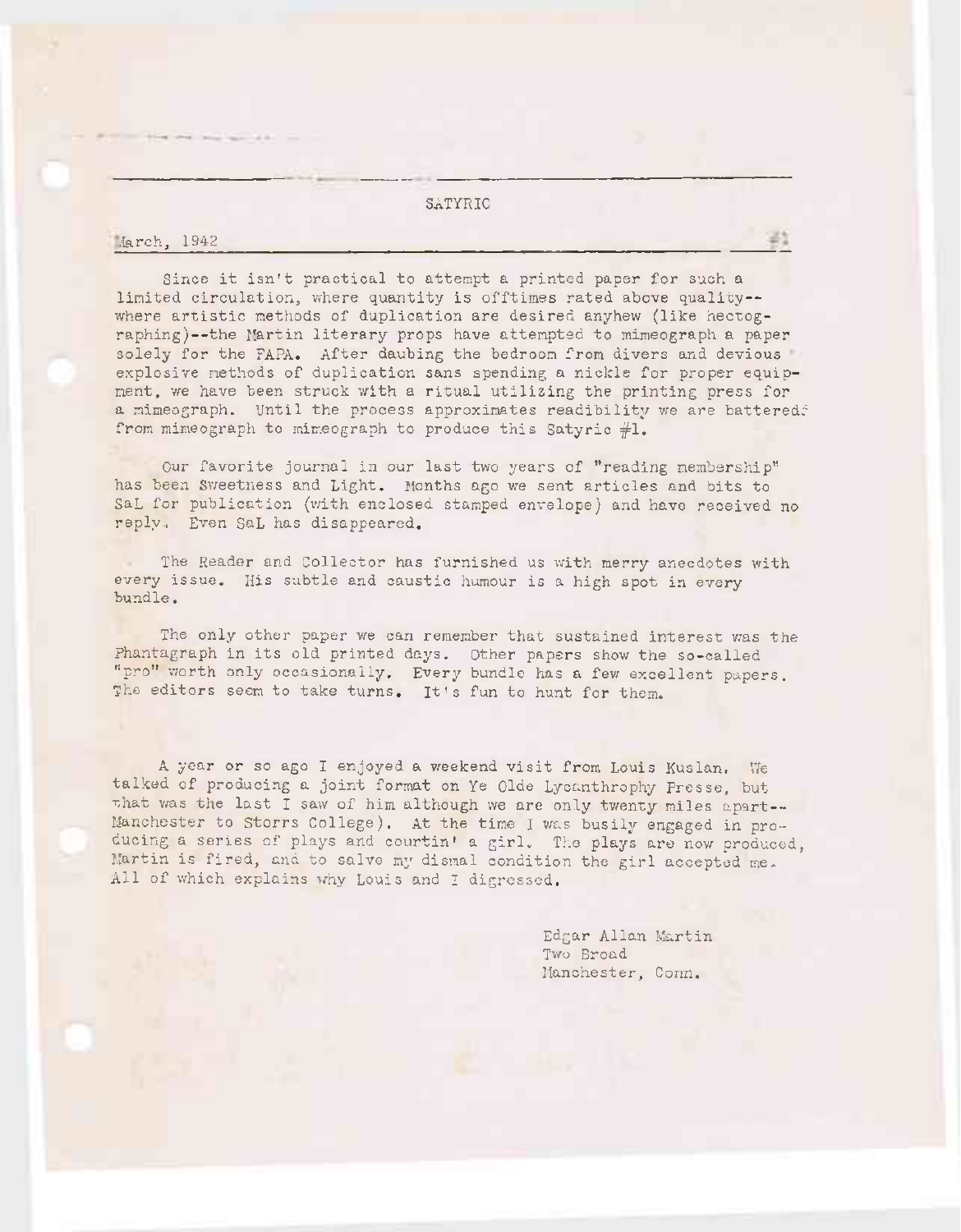## SATYRIC

/larch, 1942

Since it isn't practical to attempt <sup>a</sup> printed paper for such <sup>a</sup> limited circulation, where quantity is offtimes rated above quality where artistic methods of duplication are desired anyhew (like hectographing)—the Martin literary props have attempted to mimeograph a paper solely for the FAPA. After daubing the bedroom from divers and devious explosive methods of duplication sans spending a nickle for proper equipment, we have been struck with <sup>a</sup> ritual utilizing the printing press for a mimeograph. Until the process approximates readibility we are battered? from mimeograph to mimeograph to produce this Satyric #1.

Our favorite journal in our last two years of ''reading membership" has been Sweetness and Light. Months ago we sent articles and bits to SaL for publication (with enclosed stamped envelope) and have received no reply., Even SaL has disappeared.

The Reader and Collector has furnished us with merry anecdotes with every issue. His subtle and caustic humour is a high spot in every bundle.

The only other paper we can remember that sustained interest was the Phantagraph in its old printed days. Other papers show the so-called "pro" worth only occasionally. Every bundle has a few excellent papers. The editors seem to take turns. It's fun to hunt for them.

<sup>A</sup> year or so ago I enjoyed a weekend visit from Louis Kuslan, We talked of producing a joint format on Ye Olde Lycanthrophy Presse, but that was the last I saw of him although we are only twenty miles apart--Manchester to Storrs College). At the time I was busily engaged in producing a series of plays and courtin' a girl. The plays are now produced, Martin is fired, and to salve my dismal condition the girl accepted me-All of which explains why Louis and I digressed.

> Edgar Allan Martin Two Broad Manchester, Conn.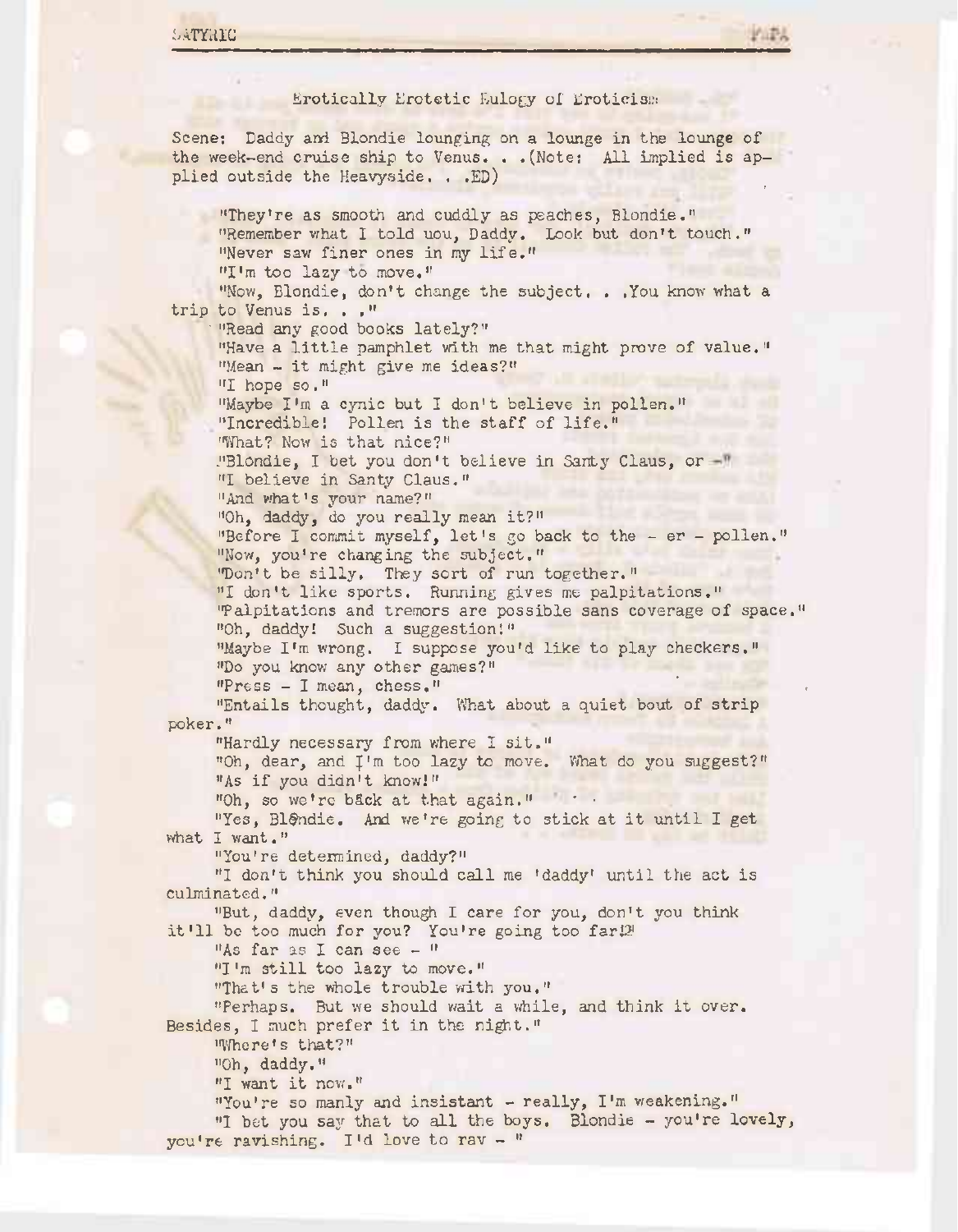## Erotically Erotetic Eulogy ol' Eroticism

Scene: Daddy and Blondie lounging on a lounge in the lounge of the week-end cruise ship to Venus. . .(Note: All implied is applied outside the Heavyside. . .ED)

"They're as smooth and cuddly as peaches, Blondie." "Remember what I told uou, Daddy. Look but don't touch." "Never saw finer ones in my life." "I'm too lazy to move."

"Now, Blondie, don't change the subject. . .You know what a trip to Venus is. . ,"

"Read any good books lately?"

"Have <sup>a</sup> little pamphlet with me that might prove of value." "Mean - it might give me ideas?"

"I hope so."

"Maybe I'm a cynic but I don't believe in pollen." "Incredible! Pollen is the staff of life."

"What? Now is that nice?"

"Blondie, I bet you don't believe in Santy Claus, or -" "I believe in Santy Claus."

"And what's your name?"

"Oh, daddy, do you really mean it?"

"Before I commit myself, let's go back to the - er - pollen." "Now, you're changing the subject."

"Don't be silly. They sort of run together."

"I don't like sports. Running gives me palpitations." "Palpitations and tremors are possible sans coverage of space." "Oh, daddy! Such a suggestion!" "Maybe I'm wrong. I suppose you'd like to play checkers."

"Do you know any other games?"

 $"Press - I mean, chess."$ 

"Entails thought, daddy. What about a quiet bout of strip poker."

"Hardly necessary from where I sit."

"Oh, dear, and J'm too lazy to move. What do you suggest?" "As if you didn't know!"

"Oh, so we're back at that again."

"Yes, Bl@ndie. And we're going to stick at it until I get what I want."

"You're determined, daddy?"

"I don't think you should call me 'daddy' until the act is culminated."

"But, daddy, even though I care for you, don't you think it'll be too much for you? You're going too  $far12$ 

"As far as I can see - "

"I'm still too lazy to move."

"That's the whole trouble with you."

"Perhaps. But we should wait <sup>a</sup> while, and think it over. Besides, I much prefer it in the night."

"Where's that?"

"Oh, daddy."

"I want it now."

"You're so manly and insistant - really, I'm weakening." "I bet you say that to all the boys. Blondie - you're lovely, you're ravishing. I'd love to rav - "

?